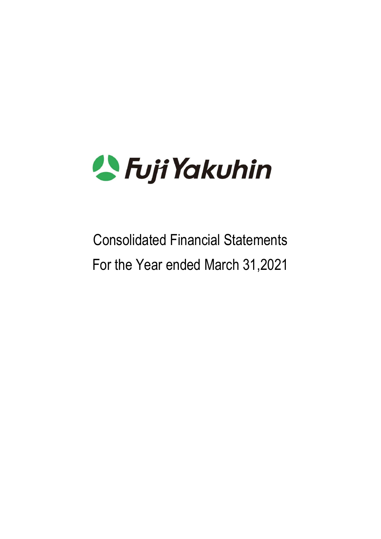

# Consolidated Financial Statements For the Year ended March 31,2021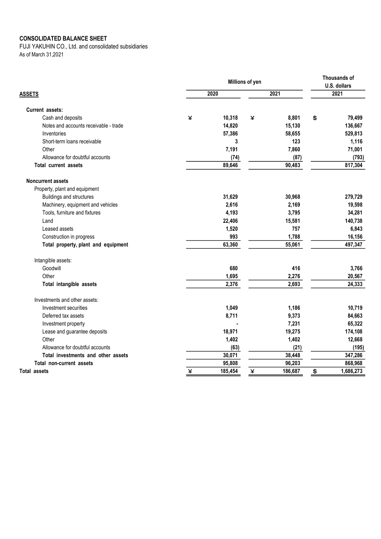#### CONSOLIDATED BALANCE SHEET

FUJI YAKUHIN CO., Ltd. and consolidated subsidiaries As of March 31,2021

|                                       | Millions of yen |         |   |         |    | Thousands of<br>U.S. dollars |  |
|---------------------------------------|-----------------|---------|---|---------|----|------------------------------|--|
| <b>ASSETS</b>                         | 2020            |         |   | 2021    |    | 2021                         |  |
| Current assets:                       |                 |         |   |         |    |                              |  |
| Cash and deposits                     | ¥               | 10,318  | ¥ | 8,801   | \$ | 79,499                       |  |
| Notes and accounts receivable - trade |                 | 14,820  |   | 15,130  |    | 136,667                      |  |
| Inventories                           |                 | 57,386  |   | 58,655  |    | 529,813                      |  |
| Short-term loans receivable           |                 | 3       |   | 123     |    | 1,116                        |  |
| Other                                 |                 | 7,191   |   | 7,860   |    | 71,001                       |  |
| Allowance for doubtful accounts       |                 | (74)    |   | (87)    |    | (793)                        |  |
| <b>Total current assets</b>           |                 | 89,646  |   | 90,483  |    | 817,304                      |  |
| <b>Noncurrent assets</b>              |                 |         |   |         |    |                              |  |
| Property, plant and equipment         |                 |         |   |         |    |                              |  |
| Buildings and structures              |                 | 31,629  |   | 30,968  |    | 279,729                      |  |
| Machinery, equipment and vehicles     |                 | 2,616   |   | 2,169   |    | 19,598                       |  |
| Tools, furniture and fixtures         |                 | 4,193   |   | 3,795   |    | 34,281                       |  |
| Land                                  |                 | 22,406  |   | 15,581  |    | 140,738                      |  |
| Leased assets                         |                 | 1,520   |   | 757     |    | 6,843                        |  |
| Construction in progress              |                 | 993     |   | 1,788   |    | 16,156                       |  |
| Total property, plant and equipment   |                 | 63,360  |   | 55,061  |    | 497,347                      |  |
| Intangible assets:                    |                 |         |   |         |    |                              |  |
| Goodwill                              |                 | 680     |   | 416     |    | 3,766                        |  |
| Other                                 |                 | 1,695   |   | 2,276   |    | 20,567                       |  |
| Total intangible assets               |                 | 2,376   |   | 2,693   |    | 24,333                       |  |
| Investments and other assets:         |                 |         |   |         |    |                              |  |
| Investment securities                 |                 | 1,049   |   | 1,186   |    | 10,719                       |  |
| Deferred tax assets                   |                 | 8,711   |   | 9,373   |    | 84,663                       |  |
| Investment property                   |                 |         |   | 7,231   |    | 65,322                       |  |
| Lease and guarantee deposits          |                 | 18,971  |   | 19,275  |    | 174,108                      |  |
| Other                                 |                 | 1,402   |   | 1,402   |    | 12,668                       |  |
| Allowance for doubtful accounts       |                 | (63)    |   | (21)    |    | (195)                        |  |
| Total investments and other assets    |                 | 30,071  |   | 38,448  |    | 347,286                      |  |
| Total non-current assets              |                 | 95,808  |   | 96,203  |    | 868,968                      |  |
| <b>Total assets</b>                   | ¥               | 185,454 | ¥ | 186,687 | \$ | 1,686,273                    |  |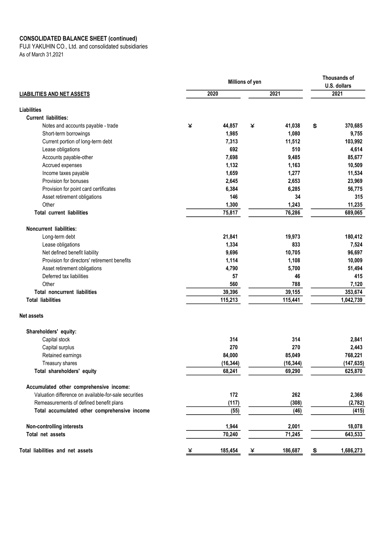#### CONSOLIDATED BALANCE SHEET (continued)

FUJI YAKUHIN CO., Ltd. and consolidated subsidiaries As of March 31,2021

|                                                       | Millions of yen |           |   |           |    | Thousands of<br>U.S. dollars |  |
|-------------------------------------------------------|-----------------|-----------|---|-----------|----|------------------------------|--|
| <b>LIABILITIES AND NET ASSETS</b>                     |                 | 2020      |   | 2021      |    | 2021                         |  |
| <b>Liabilities</b>                                    |                 |           |   |           |    |                              |  |
| <b>Current liabilities:</b>                           |                 |           |   |           |    |                              |  |
| Notes and accounts payable - trade                    | ¥               | 44,857    | ¥ | 41,038    | \$ | 370,685                      |  |
| Short-term borrowings                                 |                 | 1,985     |   | 1,080     |    | 9,755                        |  |
| Current portion of long-term debt                     |                 | 7,313     |   | 11,512    |    | 103,992                      |  |
| Lease obligations                                     |                 | 692       |   | 510       |    | 4,614                        |  |
| Accounts payable-other                                |                 | 7,698     |   | 9,485     |    | 85,677                       |  |
| Accrued expenses                                      |                 | 1,132     |   | 1,163     |    | 10,509                       |  |
| Income taxes payable                                  |                 | 1,659     |   | 1,277     |    | 11,534                       |  |
| Provision for bonuses                                 |                 | 2,645     |   | 2,653     |    | 23,969                       |  |
| Provision for point card certificates                 |                 | 6,384     |   | 6,285     |    | 56,775                       |  |
| Asset retirement obligations                          |                 | 146       |   | 34        |    | 315                          |  |
| Other                                                 |                 | 1,300     |   | 1,243     |    | 11,235                       |  |
| <b>Total current liabilities</b>                      |                 | 75,817    |   | 76,286    |    | 689,065                      |  |
| <b>Noncurrent liabilities:</b>                        |                 |           |   |           |    |                              |  |
| Long-term debt                                        |                 | 21,841    |   | 19,973    |    | 180,412                      |  |
| Lease obligations                                     |                 | 1,334     |   | 833       |    | 7,524                        |  |
| Net defined benefit liability                         |                 | 9,696     |   | 10,705    |    | 96,697                       |  |
| Provision for directors' retirement benefits          |                 | 1,114     |   | 1,108     |    | 10,009                       |  |
| Asset retirement obligations                          |                 | 4,790     |   | 5,700     |    | 51,494                       |  |
| Deferred tax liabilities                              |                 | 57        |   | 46        |    | 415                          |  |
| Other                                                 |                 | 560       |   | 788       |    | 7,120                        |  |
| <b>Total noncurrent liabilities</b>                   |                 | 39,396    |   | 39,155    |    | 353,674                      |  |
| <b>Total liabilities</b>                              |                 | 115,213   |   | 115,441   |    | 1,042,739                    |  |
| <b>Net assets</b>                                     |                 |           |   |           |    |                              |  |
| Shareholders' equity:                                 |                 |           |   |           |    |                              |  |
| Capital stock                                         |                 | 314       |   | 314       |    | 2,841                        |  |
| Capital surplus                                       |                 | 270       |   | 270       |    | 2,443                        |  |
| Retained earnings                                     |                 | 84,000    |   | 85,049    |    | 768,221                      |  |
| Treasury shares                                       |                 | (16, 344) |   | (16, 344) |    | (147, 635)                   |  |
| Total shareholders' equity                            |                 | 68,241    |   | 69,290    |    | 625,870                      |  |
| Accumulated other comprehensive income:               |                 |           |   |           |    |                              |  |
| Valuation difference on available-for-sale securities |                 | 172       |   | 262       |    | 2,366                        |  |
| Remeasurements of defined benefit plans               |                 | (117)     |   | (308)     |    | (2,782)                      |  |
| Total accumulated other comprehensive income          |                 | (55)      |   | (46)      |    | (415)                        |  |
| <b>Non-controlling interests</b>                      |                 | 1,944     |   | 2,001     |    | 18,078                       |  |
| Total net assets                                      |                 | 70,240    |   | 71,245    |    | 643,533                      |  |
| Total liabilities and net assets                      | ¥               | 185,454   | ¥ | 186,687   | \$ | 1,686,273                    |  |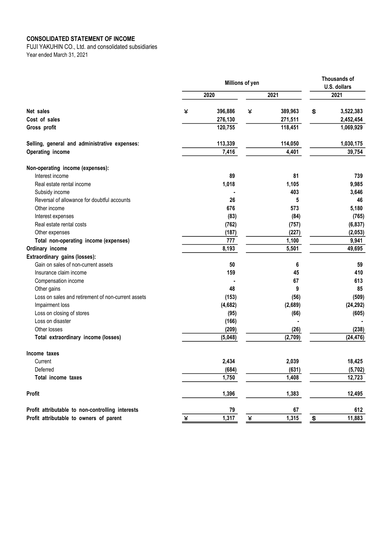#### CONSOLIDATED STATEMENT OF INCOME

FUJI YAKUHIN CO., Ltd. and consolidated subsidiaries Year ended March 31, 2021

|                                                    |   | Millions of yen | Thousands of |         |                                 |           |  |
|----------------------------------------------------|---|-----------------|--------------|---------|---------------------------------|-----------|--|
|                                                    |   | 2020            |              | 2021    | U.S. dollars<br>2021            |           |  |
|                                                    |   |                 |              |         |                                 |           |  |
| Net sales                                          | ¥ | 396,886         | ¥            | 389,963 | \$                              | 3,522,383 |  |
| Cost of sales                                      |   | 276,130         |              | 271,511 |                                 | 2,452,454 |  |
| Gross profit                                       |   | 120,755         |              | 118,451 |                                 | 1,069,929 |  |
| Selling, general and administrative expenses:      |   | 113,339         |              | 114,050 |                                 | 1,030,175 |  |
| Operating income                                   |   | 7,416           |              | 4,401   |                                 | 39,754    |  |
| Non-operating income (expenses):                   |   |                 |              |         |                                 |           |  |
| Interest income                                    |   | 89              |              | 81      |                                 | 739       |  |
| Real estate rental income                          |   | 1,018           |              | 1,105   |                                 | 9,985     |  |
| Subsidy income                                     |   |                 |              | 403     |                                 | 3,646     |  |
| Reversal of allowance for doubtful accounts        |   | 26              |              | 5       |                                 | 46        |  |
| Other income                                       |   | 676             |              | 573     |                                 | 5,180     |  |
| Interest expenses                                  |   | (83)            |              | (84)    |                                 | (765)     |  |
| Real estate rental costs                           |   | (762)           |              | (757)   |                                 | (6, 837)  |  |
| Other expenses                                     |   | (187)           |              | (227)   |                                 | (2,053)   |  |
| Total non-operating income (expenses)              |   | 777             |              | 1,100   |                                 | 9,941     |  |
| Ordinary income                                    |   | 8,193           |              | 5,501   |                                 | 49,695    |  |
| Extraordinary gains (losses):                      |   |                 |              |         |                                 |           |  |
| Gain on sales of non-current assets                |   | 50              |              | 6       |                                 | 59        |  |
| Insurance claim income                             |   | 159             |              | 45      |                                 | 410       |  |
| Compensation income                                |   |                 |              | 67      |                                 | 613       |  |
| Other gains                                        |   | 48              |              | 9       |                                 | 85        |  |
| Loss on sales and retirement of non-current assets |   | (153)           |              | (56)    |                                 | (509)     |  |
| Impairment loss                                    |   | (4,682)         |              | (2,689) |                                 | (24, 292) |  |
| Loss on closing of stores                          |   | (95)            |              | (66)    |                                 | (605)     |  |
| Loss on disaster                                   |   | (166)           |              |         |                                 |           |  |
| Other losses                                       |   | (209)           |              | (26)    |                                 | (238)     |  |
| Total extraordinary income (losses)                |   | (5,048)         |              | (2,709) |                                 | (24, 476) |  |
| Income taxes                                       |   |                 |              |         |                                 |           |  |
| Current                                            |   | 2,434           |              | 2,039   |                                 | 18,425    |  |
| Deferred                                           |   | (684)           |              | (631)   |                                 | (5,702)   |  |
| Total income taxes                                 |   | 1,750           |              | 1,408   |                                 | 12,723    |  |
| <b>Profit</b>                                      |   | 1,396           |              | 1,383   |                                 | 12,495    |  |
| Profit attributable to non-controlling interests   |   | 79              |              | 67      |                                 | 612       |  |
| Profit attributable to owners of parent            | ¥ | 1,317           | ¥            | 1,315   | $\frac{\mathbf{E}}{\mathbf{E}}$ | 11,883    |  |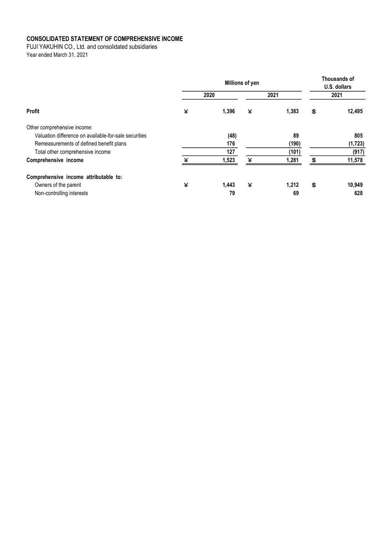### CONSOLIDATED STATEMENT OF COMPREHENSIVE INCOME

FUJI YAKUHIN CO., Ltd. and consolidated subsidiaries

Year ended March 31, 2021

|                                                       | Millions of yen |       |   |       |    | <b>Thousands of</b><br>U.S. dollars |  |
|-------------------------------------------------------|-----------------|-------|---|-------|----|-------------------------------------|--|
|                                                       |                 | 2020  |   | 2021  |    | 2021                                |  |
| Profit                                                | ¥               | 1,396 | ¥ | 1,383 | \$ | 12,495                              |  |
| Other comprehensive income:                           |                 |       |   |       |    |                                     |  |
| Valuation difference on available-for-sale securities |                 | (48)  |   | 89    |    | 805                                 |  |
| Remeasurements of defined benefit plans               |                 | 176   |   | (190) |    | (1, 723)                            |  |
| Total other comprehensive income                      |                 | 127   |   | (101) |    | (917)                               |  |
| Comprehensive income                                  | $\mathbf{v}$    | 1,523 | ¥ | 1,281 | \$ | 11,578                              |  |
| Comprehensive income attributable to:                 |                 |       |   |       |    |                                     |  |
| Owners of the parent                                  | ¥               | 1,443 | ¥ | 1,212 | \$ | 10,949                              |  |
| Non-controlling interests                             |                 | 79    |   | 69    |    | 628                                 |  |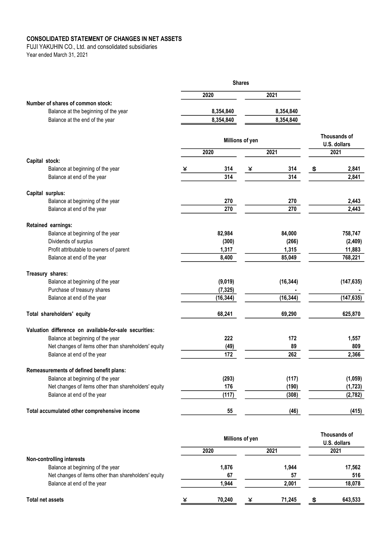## CONSOLIDATED STATEMENT OF CHANGES IN NET ASSETS

FUJI YAKUHIN CO., Ltd. and consolidated subsidiaries Year ended March 31, 2021

|                                                        |   | <b>Shares</b> |                 |           |                      |
|--------------------------------------------------------|---|---------------|-----------------|-----------|----------------------|
|                                                        |   | 2020          |                 | 2021      |                      |
| Number of shares of common stock:                      |   |               |                 |           |                      |
| Balance at the beginning of the year                   |   | 8,354,840     |                 | 8,354,840 |                      |
| Balance at the end of the year                         |   | 8,354,840     |                 | 8,354,840 |                      |
|                                                        |   |               |                 |           |                      |
|                                                        |   |               | Millions of yen |           | Thousands of         |
|                                                        |   | 2020          |                 | 2021      | U.S. dollars<br>2021 |
| Capital stock:                                         |   |               |                 |           |                      |
| Balance at beginning of the year                       | ¥ | 314           | ¥               | 314       | \$<br>2,841          |
| Balance at end of the year                             |   | 314           |                 | 314       | 2,841                |
| Capital surplus:                                       |   |               |                 |           |                      |
| Balance at beginning of the year                       |   | 270           |                 | 270       | 2,443                |
| Balance at end of the year                             |   | 270           |                 | 270       | 2,443                |
| Retained earnings:                                     |   |               |                 |           |                      |
| Balance at beginning of the year                       |   | 82,984        |                 | 84,000    | 758,747              |
| Dividends of surplus                                   |   | (300)         |                 | (266)     | (2, 409)             |
| Profit attributable to owners of parent                |   | 1,317         |                 | 1,315     | 11,883               |
| Balance at end of the year                             |   | 8,400         |                 | 85,049    | 768,221              |
| Treasury shares:                                       |   |               |                 |           |                      |
| Balance at beginning of the year                       |   | (9,019)       |                 | (16, 344) | (147, 635)           |
| Purchase of treasury shares                            |   | (7, 325)      |                 |           |                      |
| Balance at end of the year                             |   | (16, 344)     |                 | (16, 344) | (147, 635)           |
| Total shareholders' equity                             |   | 68,241        |                 | 69,290    | 625,870              |
| Valuation difference on available-for-sale securities: |   |               |                 |           |                      |
| Balance at beginning of the year                       |   | 222           |                 | 172       | 1,557                |
| Net changes of items other than shareholders' equity   |   | (49)          |                 | 89        | 809                  |
| Balance at end of the year                             |   | 172           |                 | 262       | 2,366                |
| Remeasurements of defined benefit plans:               |   |               |                 |           |                      |
| Balance at beginning of the year                       |   | (293)         |                 | (117)     | (1,059)              |
| Net changes of items other than shareholders' equity   |   | 176           |                 | (190)     | (1, 723)             |
| Balance at end of the year                             |   | (117)         |                 | (308)     | (2, 782)             |
| Total accumulated other comprehensive income           |   | 55            |                 | (46)      | (415)                |
|                                                        |   |               |                 |           | Thousands of         |

|                                                      | Millions of yen |        |   |        | THUUSAHUS UI<br>U.S. dollars |         |  |
|------------------------------------------------------|-----------------|--------|---|--------|------------------------------|---------|--|
|                                                      |                 | 2020   |   | 2021   |                              | 2021    |  |
| <b>Non-controlling interests</b>                     |                 |        |   |        |                              |         |  |
| Balance at beginning of the year                     |                 | 1,876  |   | 1,944  |                              | 17,562  |  |
| Net changes of items other than shareholders' equity |                 | 67     |   | 57     |                              | 516     |  |
| Balance at end of the year                           |                 | 1.944  |   | 2,001  |                              | 18,078  |  |
| Total net assets                                     | ¥               | 70.240 | ¥ | 71.245 | S                            | 643,533 |  |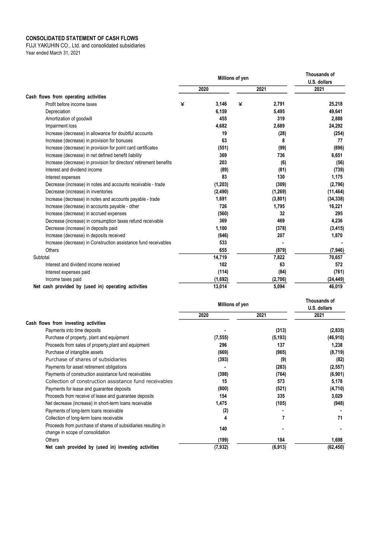#### CONSOLIDATED STATEMENT OF CASH FLOWS

FUJI YAKUHIN CO., Ltd. and consolidated subsidiaries Year ended March 31, 2021

|                                                                     | Millions of yen |          |   | <b>Thousands of</b><br>U.S. dollars |           |
|---------------------------------------------------------------------|-----------------|----------|---|-------------------------------------|-----------|
|                                                                     |                 | 2020     |   | 2021                                | 2021      |
| Cash flows from operating activities                                |                 |          |   |                                     |           |
| Profit before income taxes                                          | ¥               | 3,146    | ¥ | 2,791                               | 25,218    |
| Depreciation                                                        |                 | 6,159    |   | 5,495                               | 49,641    |
| Amortization of goodwill                                            |                 | 455      |   | 319                                 | 2,888     |
| Impairment loss                                                     |                 | 4,682    |   | 2,689                               | 24,292    |
| Increase (decrease) in allowance for doubtful accounts              |                 | 19       |   | (28)                                | (254)     |
| Increase (decrease) in provision for bonuses                        |                 | 63       |   | 8                                   | 77        |
| Increase (decrease) in provision for point card certificates        |                 | (551)    |   | (99)                                | (896)     |
| Increase (decrease) in net defined benefit liability                |                 | 369      |   | 736                                 | 6,651     |
| Increase (decrease) in provision for directors' retirement benefits |                 | 203      |   | (6)                                 | (56)      |
| Interest and dividend income                                        |                 | (89)     |   | (81)                                | (739)     |
| Interest expenses                                                   |                 | 83       |   | 130                                 | 1,175     |
| Decrease (increase) in notes and accounts receivable - trade        |                 | (1, 203) |   | (309)                               | (2,796)   |
| Decrease (increase) in inventories                                  |                 | (2, 490) |   | (1, 269)                            | (11, 464) |
| Increase (decrease) in notes and accounts payable - trade           |                 | 1,691    |   | (3,801)                             | (34, 338) |
| Increase (decrease) in accounts payable - other                     |                 | 726      |   | 1,795                               | 16,221    |
| Increase (decrease) in accrued expenses                             |                 | (560)    |   | 32                                  | 295       |
| Decrease (increase) in consumption taxes refund receivable          |                 | 369      |   | 469                                 | 4,236     |
| Decrease (increase) in deposits paid                                |                 | 1,100    |   | (378)                               | (3, 415)  |
| Increase (decrease) in deposits received                            |                 | (646)    |   | 207                                 | 1,870     |
| Increase (decrease) in Construction assistance fund receivables     |                 | 533      |   |                                     |           |
| Others                                                              |                 | 655      |   | (879)                               | (7,946)   |
| Subtotal                                                            |                 | 14,719   |   | 7,822                               | 70,657    |
| Interest and dividend income received                               |                 | 102      |   | 63                                  | 572       |
| Interest expenses paid                                              |                 | (114)    |   | (84)                                | (761)     |
| Income taxes paid                                                   |                 | (1,692)  |   | (2,706)                             | (24, 449) |
| Net cash provided by (used in) operating activities                 |                 | 13,014   |   | 5,094                               | 46,019    |

|                                                                                                   | Millions of yen | Thousands of<br>U.S. dollars |           |
|---------------------------------------------------------------------------------------------------|-----------------|------------------------------|-----------|
|                                                                                                   | 2020            | 2021                         | 2021      |
| Cash flows from investing activities                                                              |                 |                              |           |
| Payments into time deposits                                                                       |                 | (313)                        | (2,835)   |
| Purchase of property, plant and equipment                                                         | (7, 555)        | (5, 193)                     | (46, 910) |
| Proceeds from sales of property, plant and equipment                                              | 296             | 137                          | 1,238     |
| Purchase of intangible assets                                                                     | (669)           | (965)                        | (8,719)   |
| Purchase of shares of subsidiaries                                                                | (393)           | (9)                          | (82)      |
| Payments for asset retirement obligations                                                         |                 | (283)                        | (2, 557)  |
| Payments of construction assistance fund receivables                                              | (398)           | (764)                        | (6,901)   |
| Collection of construction assistance fund receivables                                            | 15              | 573                          | 5,178     |
| Payments for lease and guarantee deposits                                                         | (800)           | (521)                        | (4,710)   |
| Proceeds from receive of lease and guarantee deposits                                             | 154             | 335                          | 3,029     |
| Net decrease (increase) in short-term loans receivable                                            | 1,475           | (105)                        | (948)     |
| Payments of long-term loans receivable                                                            | (2)             |                              |           |
| Collection of long-term loans receivable                                                          | 4               |                              | 71        |
| Proceeds from purchase of shares of subsidiaries resulting in<br>change in scope of consolidation | 140             |                              |           |
| Others                                                                                            | (199)           | 184                          | 1,698     |
| Net cash provided by (used in) investing activities                                               | (7, 932)        | (6, 913)                     | (62, 450) |